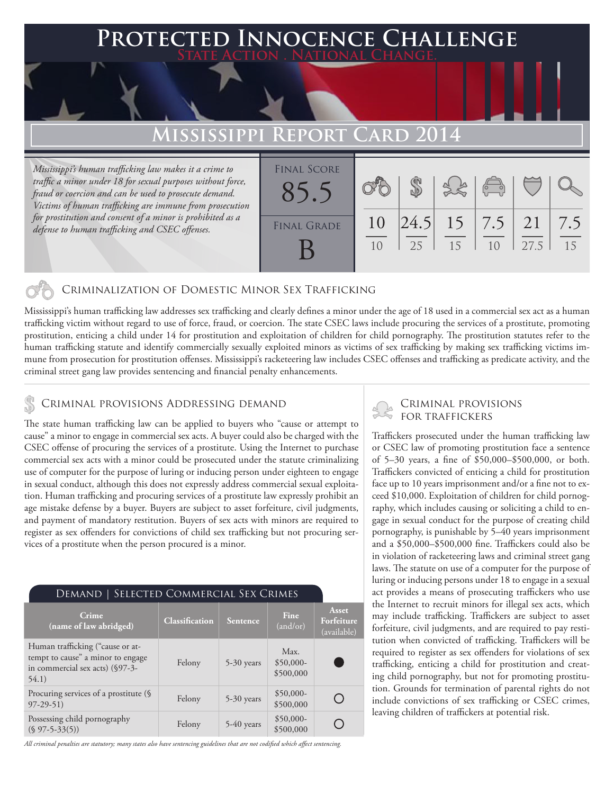### **PED INNOCENCE CHALLENGE State Action . National Change.**

## **MISSISSIPPI REPOR**

*Mississippi's human trafficking law makes it a crime to traffic a minor under 18 for sexual purposes without force, fraud or coercion and can be used to prosecute demand. Victims of human trafficking are immune from prosecution for prostitution and consent of a minor is prohibited as a defense to human trafficking and CSEC offenses.*

| <b>FINAL SCORE</b> |    |    |                        |                |      |     |
|--------------------|----|----|------------------------|----------------|------|-----|
|                    |    |    |                        | $\overline{C}$ |      |     |
|                    |    |    |                        |                |      |     |
|                    |    |    |                        |                |      |     |
| <b>FINAL GRADE</b> | 10 |    | $ 24.5 $ 15   7.5   21 |                |      | 7.5 |
|                    |    | 25 | 15                     | 1 <sub>0</sub> | 27.5 | 15  |
|                    |    |    |                        |                |      |     |

### Criminalization of Domestic Minor Sex Trafficking

Mississippi's human trafficking law addresses sex trafficking and clearly defines a minor under the age of 18 used in a commercial sex act as a human trafficking victim without regard to use of force, fraud, or coercion. The state CSEC laws include procuring the services of a prostitute, promoting prostitution, enticing a child under 14 for prostitution and exploitation of children for child pornography. The prostitution statutes refer to the human trafficking statute and identify commercially sexually exploited minors as victims of sex trafficking by making sex trafficking victims immune from prosecution for prostitution offenses. Mississippi's racketeering law includes CSEC offenses and trafficking as predicate activity, and the criminal street gang law provides sentencing and financial penalty enhancements.

## CRIMINAL PROVISIONS ADDRESSING DEMAND<br>FOR TRAFFICKERS

The state human trafficking law can be applied to buyers who "cause or attempt to cause" a minor to engage in commercial sex acts. A buyer could also be charged with the CSEC offense of procuring the services of a prostitute. Using the Internet to purchase commercial sex acts with a minor could be prosecuted under the statute criminalizing use of computer for the purpose of luring or inducing person under eighteen to engage in sexual conduct, although this does not expressly address commercial sexual exploitation. Human trafficking and procuring services of a prostitute law expressly prohibit an age mistake defense by a buyer. Buyers are subject to asset forfeiture, civil judgments, and payment of mandatory restitution. Buyers of sex acts with minors are required to register as sex offenders for convictions of child sex trafficking but not procuring services of a prostitute when the person procured is a minor.

| <b>DEMAND   SELECTED COMMERCIAL SEX CRIMES</b>                                                                    |                |            |                                 |                                    |  |  |  |  |
|-------------------------------------------------------------------------------------------------------------------|----------------|------------|---------------------------------|------------------------------------|--|--|--|--|
| Crime<br>(name of law abridged)                                                                                   | Classification | Sentence   | Fine<br>(and/or)                | Asset<br>Forfeiture<br>(available) |  |  |  |  |
| Human trafficking ("cause or at-<br>tempt to cause" a minor to engage<br>in commercial sex acts) (§97-3-<br>54.1) | Felony         | 5-30 years | Max.<br>$$50,000-$<br>\$500,000 |                                    |  |  |  |  |
| Procuring services of a prostitute (§<br>$97-29-51$                                                               | Felony         | 5-30 years | $$50,000-$<br>\$500,000         |                                    |  |  |  |  |
| Possessing child pornography<br>$(S 97-5-33(5))$                                                                  | Felony         | 5-40 years | $$50,000-$<br>\$500,000         |                                    |  |  |  |  |

*All criminal penalties are statutory; many states also have sentencing guidelines that are not codified which affect sentencing.* 

# Criminal provisions

Traffickers prosecuted under the human trafficking law or CSEC law of promoting prostitution face a sentence of 5–30 years, a fine of \$50,000–\$500,000, or both. Traffickers convicted of enticing a child for prostitution face up to 10 years imprisonment and/or a fine not to exceed \$10,000. Exploitation of children for child pornography, which includes causing or soliciting a child to engage in sexual conduct for the purpose of creating child pornography, is punishable by 5–40 years imprisonment and a \$50,000–\$500,000 fine. Traffickers could also be in violation of racketeering laws and criminal street gang laws. The statute on use of a computer for the purpose of luring or inducing persons under 18 to engage in a sexual act provides a means of prosecuting traffickers who use the Internet to recruit minors for illegal sex acts, which may include trafficking. Traffickers are subject to asset forfeiture, civil judgments, and are required to pay restitution when convicted of trafficking. Traffickers will be required to register as sex offenders for violations of sex trafficking, enticing a child for prostitution and creating child pornography, but not for promoting prostitution. Grounds for termination of parental rights do not include convictions of sex trafficking or CSEC crimes, leaving children of traffickers at potential risk.